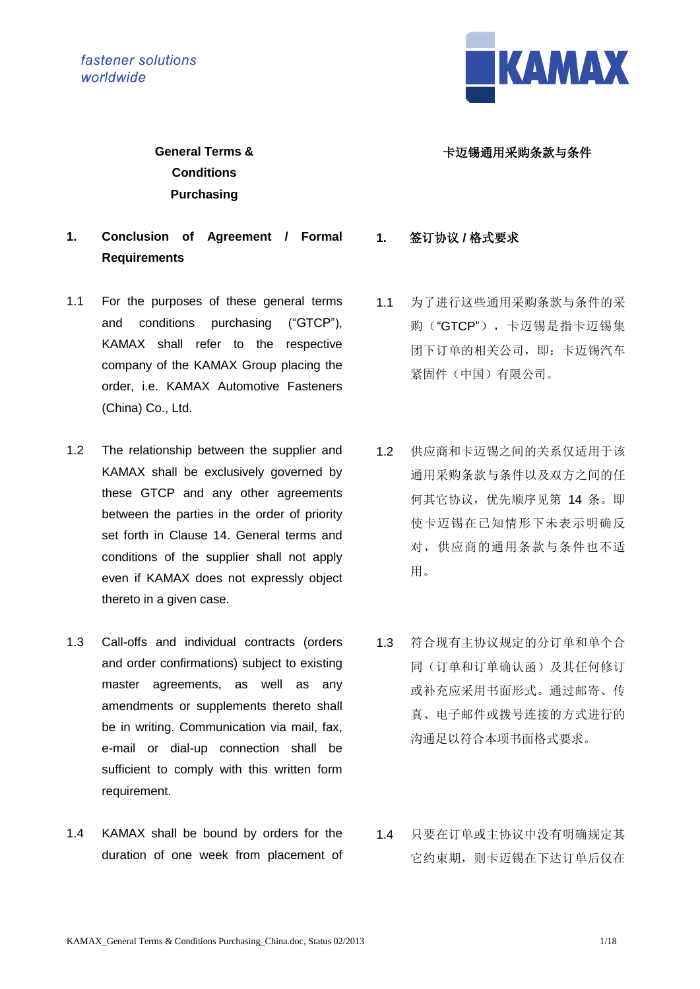fastener solutions worldwide



## 卡迈锡通用采购条款与条件

**General Terms & Conditions Purchasing**

- **1. Conclusion of Agreement / Formal Requirements**
- 1.1 For the purposes of these general terms and conditions purchasing ("GTCP"), KAMAX shall refer to the respective company of the KAMAX Group placing the order, i.e. KAMAX Automotive Fasteners (China) Co., Ltd.
- 1.2 The relationship between the supplier and KAMAX shall be exclusively governed by these GTCP and any other agreements between the parties in the order of priority set forth in Clause 14. General terms and conditions of the supplier shall not apply even if KAMAX does not expressly object thereto in a given case.
- 1.3 Call-offs and individual contracts (orders and order confirmations) subject to existing master agreements, as well as any amendments or supplements thereto shall be in writing. Communication via mail, fax, e-mail or dial-up connection shall be sufficient to comply with this written form requirement.
- 1.4 KAMAX shall be bound by orders for the duration of one week from placement of

**1.** 签订协议 **/** 格式要求

- 1.1 为了进行这些通用采购条款与条件的采 购("GTCP"),卡迈锡是指卡迈锡集 团下订单的相关公司,即:卡迈锡汽车 紧固件(中国)有限公司。
- 1.2 供应商和卡迈锡之间的关系仅适用于该 通用采购条款与条件以及双方之间的任 何其它协议,优先顺序见第 14 条。即 使卡迈锡在已知情形下未表示明确反 对,供应商的通用条款与条件也不适 用。
- 1.3 符合现有主协议规定的分订单和单个合 同(订单和订单确认函)及其任何修订 或补充应采用书面形式。通过邮寄、传 真、电子邮件或拨号连接的方式进行的 沟通足以符合本项书面格式要求。
- 1.4 只要在订单或主协议中没有明确规定其 它约束期,则卡迈锡在下达订单后仅在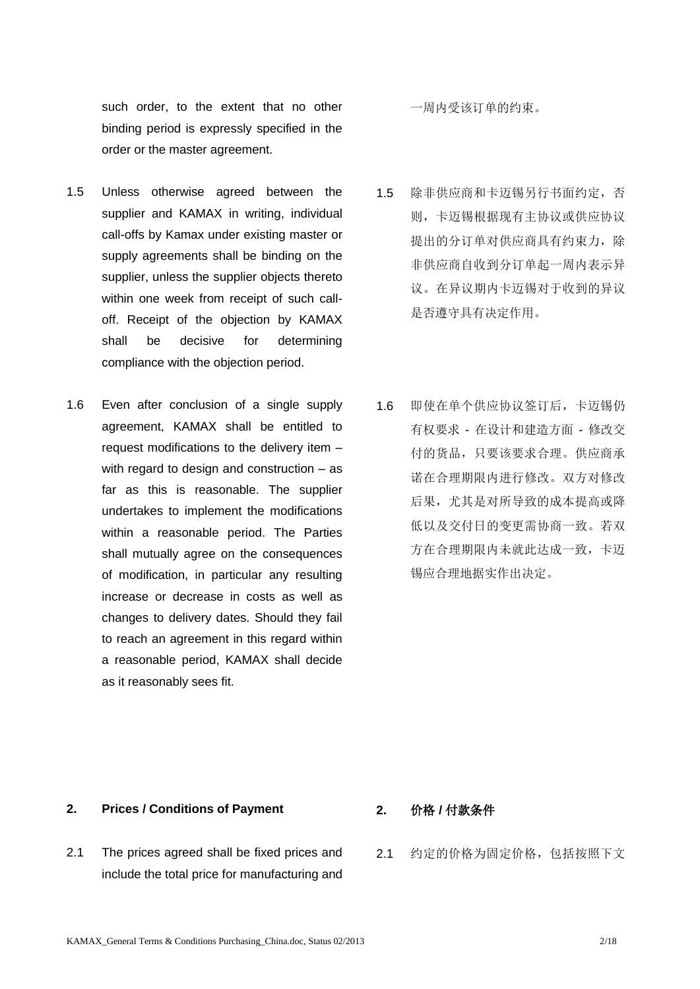such order, to the extent that no other binding period is expressly specified in the order or the master agreement.

- 1.5 Unless otherwise agreed between the supplier and KAMAX in writing, individual call-offs by Kamax under existing master or supply agreements shall be binding on the supplier, unless the supplier objects thereto within one week from receipt of such calloff. Receipt of the objection by KAMAX shall be decisive for determining compliance with the objection period.
- 1.6 Even after conclusion of a single supply agreement, KAMAX shall be entitled to request modifications to the delivery item – with regard to design and construction – as far as this is reasonable. The supplier undertakes to implement the modifications within a reasonable period. The Parties shall mutually agree on the consequences of modification, in particular any resulting increase or decrease in costs as well as changes to delivery dates. Should they fail to reach an agreement in this regard within a reasonable period, KAMAX shall decide as it reasonably sees fit.

一周内受该订单的约束。

- 1.5 除非供应商和卡迈锡另行书面约定,否 则,卡迈锡根据现有主协议或供应协议 提出的分订单对供应商具有约束力,除 非供应商自收到分订单起一周内表示异 议。在异议期内卡迈锡对于收到的异议 是否遵守具有决定作用。
- 1.6 即使在单个供应协议签订后,卡迈锡仍 有权要求 - 在设计和建造方面 - 修改交 付的货品,只要该要求合理。供应商承 诺在合理期限内进行修改。双方对修改 后果,尤其是对所导致的成本提高或降 低以及交付日的变更需协商一致。若双 方在合理期限内未就此达成一致,卡迈 锡应合理地据实作出决定。

### **2. Prices / Conditions of Payment 2.** 价格 **/** 付款条件

- 2.1 The prices agreed shall be fixed prices and include the total price for manufacturing and
- 
- 2.1 约定的价格为固定价格,包括按照下文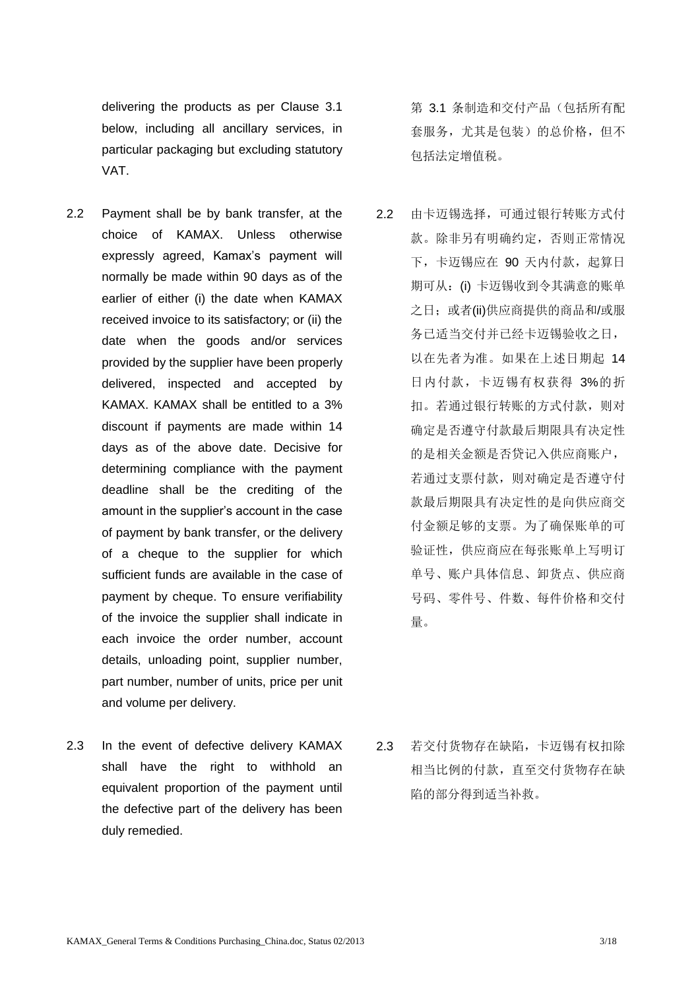delivering the products as per Clause 3.1 below, including all ancillary services, in particular packaging but excluding statutory VAT.

- 2.2 Payment shall be by bank transfer, at the choice of KAMAX. Unless otherwise expressly agreed, Kamax's payment will normally be made within 90 days as of the earlier of either (i) the date when KAMAX received invoice to its satisfactory; or (ii) the date when the goods and/or services provided by the supplier have been properly delivered, inspected and accepted by KAMAX. KAMAX shall be entitled to a 3% discount if payments are made within 14 days as of the above date. Decisive for determining compliance with the payment deadline shall be the crediting of the amount in the supplier's account in the case of payment by bank transfer, or the delivery of a cheque to the supplier for which sufficient funds are available in the case of payment by cheque. To ensure verifiability of the invoice the supplier shall indicate in each invoice the order number, account details, unloading point, supplier number, part number, number of units, price per unit and volume per delivery.
- 2.3 In the event of defective delivery KAMAX shall have the right to withhold an equivalent proportion of the payment until the defective part of the delivery has been duly remedied.

第 3.1 条制造和交付产品(包括所有配 套服务,尤其是包装)的总价格,但不 包括法定增值税。

2.2 由卡迈锡选择,可通过银行转账方式付 款。除非另有明确约定,否则正常情况 下,卡迈锡应在 90 天内付款,起算日 期可从: (i) 卡迈锡收到令其满意的账单 之日; 或者(ii)供应商提供的商品和/或服 务已适当交付并已经卡迈锡验收之日, 以在先者为准。如果在上述日期起 14 日内付款,卡迈锡有权获得 3%的折 扣。若通过银行转账的方式付款,则对 确定是否遵守付款最后期限具有决定性 的是相关金额是否贷记入供应商账户, 若通过支票付款,则对确定是否遵守付 款最后期限具有决定性的是向供应商交 付金额足够的支票。为了确保账单的可 验证性,供应商应在每张账单上写明订 单号、账户具体信息、卸货点、供应商 号码、零件号、件数、每件价格和交付 量。

2.3 若交付货物存在缺陷,卡迈锡有权扣除 相当比例的付款,直至交付货物存在缺 陷的部分得到适当补救。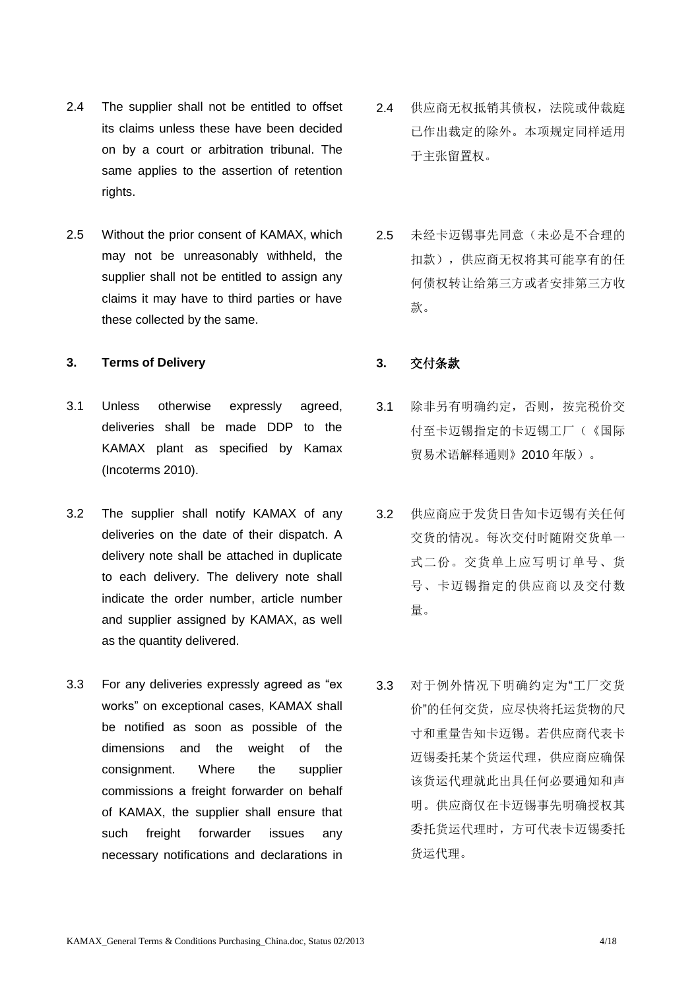- 2.4 The supplier shall not be entitled to offset its claims unless these have been decided on by a court or arbitration tribunal. The same applies to the assertion of retention rights.
- 2.5 Without the prior consent of KAMAX, which may not be unreasonably withheld, the supplier shall not be entitled to assign any claims it may have to third parties or have these collected by the same.

### **3. Terms of Delivery 3.** 交付条款

- 3.1 Unless otherwise expressly agreed, deliveries shall be made DDP to the KAMAX plant as specified by Kamax (Incoterms 2010).
- 3.2 The supplier shall notify KAMAX of any deliveries on the date of their dispatch. A delivery note shall be attached in duplicate to each delivery. The delivery note shall indicate the order number, article number and supplier assigned by KAMAX, as well as the quantity delivered.
- 3.3 For any deliveries expressly agreed as "ex works" on exceptional cases, KAMAX shall be notified as soon as possible of the dimensions and the weight of the consignment. Where the supplier commissions a freight forwarder on behalf of KAMAX, the supplier shall ensure that such freight forwarder issues any necessary notifications and declarations in
- 2.4 供应商无权抵销其债权,法院或仲裁庭 已作出裁定的除外。本项规定同样适用 于主张留置权。
- 2.5 未经卡迈锡事先同意(未必是不合理的 扣款),供应商无权将其可能享有的任 何债权转让给第三方或者安排第三方收 款。

- 3.1 除非另有明确约定,否则,按完税价交 付至卡迈锡指定的卡迈锡工厂(《国际 贸易术语解释通则》2010 年版)。
- 3.2 供应商应于发货日告知卡迈锡有关任何 交货的情况。每次交付时随附交货单一 式二份。交货单上应写明订单号、货 号、卡迈锡指定的供应商以及交付数 量。
- 3.3 对于例外情况下明确约定为"工厂交货 价"的任何交货,应尽快将托运货物的尺 寸和重量告知卡迈锡。若供应商代表卡 迈锡委托某个货运代理,供应商应确保 该货运代理就此出具任何必要通知和声 明。供应商仅在卡迈锡事先明确授权其 委托货运代理时,方可代表卡迈锡委托 货运代理。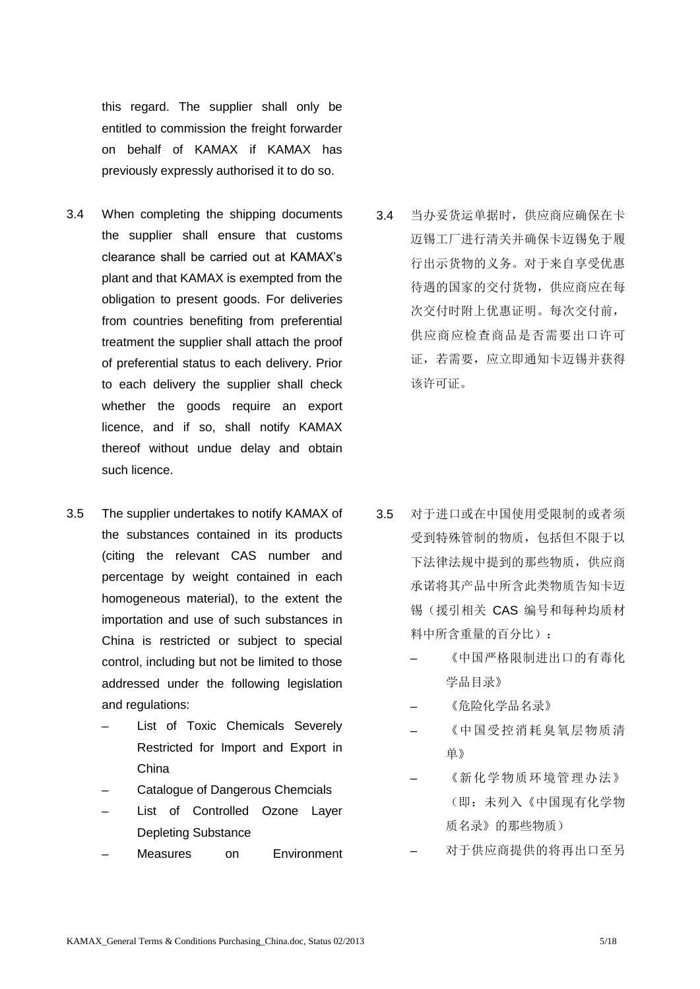this regard. The supplier shall only be entitled to commission the freight forwarder on behalf of KAMAX if KAMAX has previously expressly authorised it to do so.

- 3.4 When completing the shipping documents the supplier shall ensure that customs clearance shall be carried out at KAMAX's plant and that KAMAX is exempted from the obligation to present goods. For deliveries from countries benefiting from preferential treatment the supplier shall attach the proof of preferential status to each delivery. Prior to each delivery the supplier shall check whether the goods require an export licence, and if so, shall notify KAMAX thereof without undue delay and obtain such licence.
- 3.5 The supplier undertakes to notify KAMAX of the substances contained in its products (citing the relevant CAS number and percentage by weight contained in each homogeneous material), to the extent the importation and use of such substances in China is restricted or subject to special control, including but not be limited to those addressed under the following legislation and regulations:
	- List of Toxic Chemicals Severely Restricted for Import and Export in China
	- Catalogue of Dangerous Chemcials
	- List of Controlled Ozone Layer Depleting Substance
	- Measures on Environment

3.4 当办妥货运单据时,供应商应确保在卡 迈锡工厂进行清关并确保卡迈锡免于履 行出示货物的义务。对于来自享受优惠 待遇的国家的交付货物,供应商应在每 次交付时附上优惠证明。每次交付前, 供应商应检查商品是否需要出口许可 证,若需要,应立即通知卡迈锡并获得 该许可证。

- 3.5 对于进口或在中国使用受限制的或者须 受到特殊管制的物质,包括但不限于以 下法律法规中提到的那些物质,供应商 承诺将其产品中所含此类物质告知卡迈 锡(援引相关 CAS 编号和每种均质材 料中所含重量的百分比):
	- 《中国严格限制讲出口的有毒化 学品目录》
	- ─ 《危险化学品名录》
	- ─ 《中国受控消耗臭氧层物质清 单》
	- 《新化学物质环境管理办法》 (即:未列入《中国现有化学物 质名录》的那些物质)
	- 对于供应商提供的将再出口至另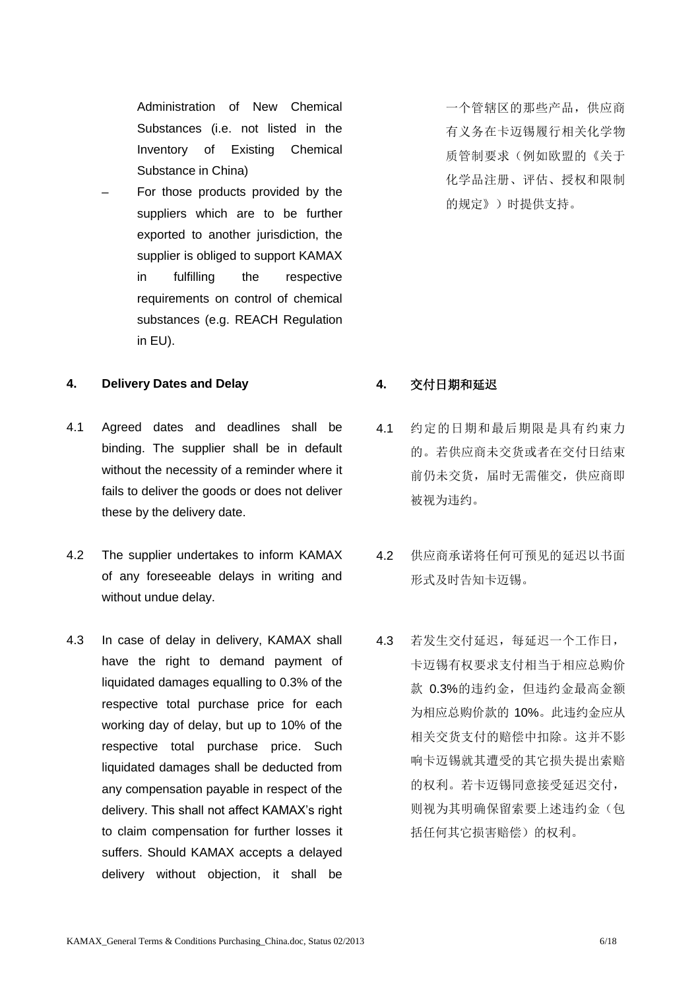Administration of New Chemical Substances (i.e. not listed in the Inventory of Existing Chemical Substance in China)

For those products provided by the suppliers which are to be further exported to another jurisdiction, the supplier is obliged to support KAMAX in fulfilling the respective requirements on control of chemical substances (e.g. REACH Regulation in EU).

### **4. Delivery Dates and Delay 4.** 交付日期和延迟

- 4.1 Agreed dates and deadlines shall be binding. The supplier shall be in default without the necessity of a reminder where it fails to deliver the goods or does not deliver these by the delivery date.
- 4.2 The supplier undertakes to inform KAMAX of any foreseeable delays in writing and without undue delay.
- 4.3 In case of delay in delivery, KAMAX shall have the right to demand payment of liquidated damages equalling to 0.3% of the respective total purchase price for each working day of delay, but up to 10% of the respective total purchase price. Such liquidated damages shall be deducted from any compensation payable in respect of the delivery. This shall not affect KAMAX's right to claim compensation for further losses it suffers. Should KAMAX accepts a delayed delivery without objection, it shall be

一个管辖区的那些产品,供应商 有义务在卡迈锡履行相关化学物 质管制要求(例如欧盟的《关于 化学品注册、评估、授权和限制 的规定》)时提供支持。

- 4.1 约定的日期和最后期限是具有约束力 的。若供应商未交货或者在交付日结束 前仍未交货,届时无需催交,供应商即 被视为违约。
- 4.2 供应商承诺将任何可预见的延迟以书面 形式及时告知卡迈锡。
- 4.3 若发生交付延迟,每延迟一个工作日, 卡迈锡有权要求支付相当于相应总购价 款 0.3%的讳约金, 但讳约金最高金额 为相应总购价款的 10%。此违约金应从 相关交货支付的赔偿中扣除。这并不影 响卡迈锡就其遭受的其它损失提出索赔 的权利。若卡迈锡同意接受延迟交付, 则视为其明确保留索要上述违约金(包 括任何其它损害赔偿)的权利。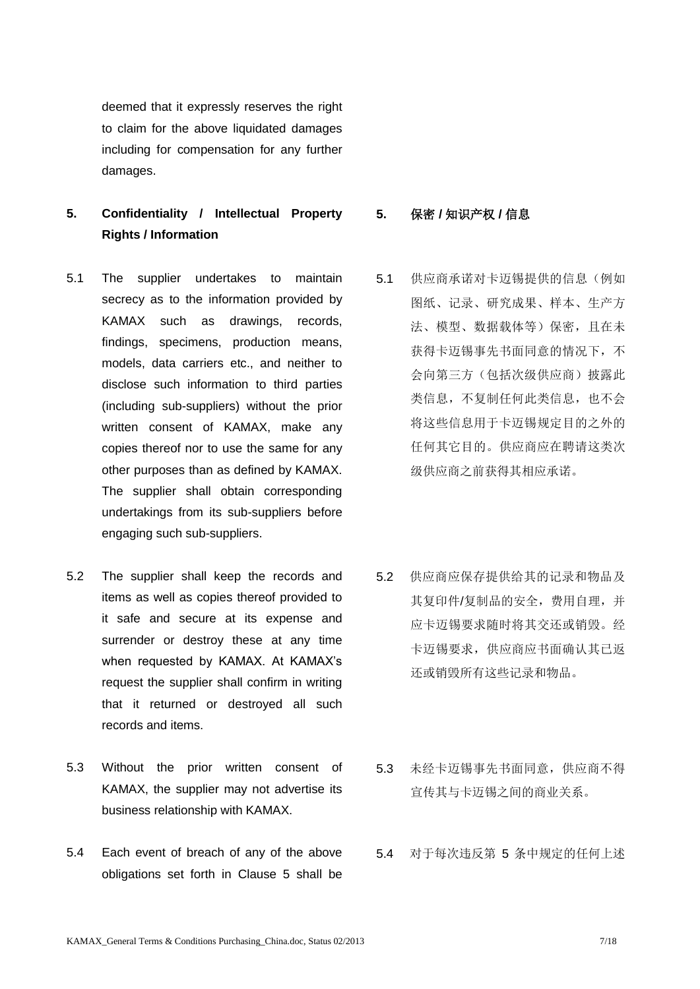deemed that it expressly reserves the right to claim for the above liquidated damages including for compensation for any further damages.

# **5. Confidentiality / Intellectual Property Rights / Information**

- 5.1 The supplier undertakes to maintain secrecy as to the information provided by KAMAX such as drawings, records, findings, specimens, production means, models, data carriers etc., and neither to disclose such information to third parties (including sub-suppliers) without the prior written consent of KAMAX, make any copies thereof nor to use the same for any other purposes than as defined by KAMAX. The supplier shall obtain corresponding undertakings from its sub-suppliers before engaging such sub-suppliers.
- 5.2 The supplier shall keep the records and items as well as copies thereof provided to it safe and secure at its expense and surrender or destroy these at any time when requested by KAMAX. At KAMAX's request the supplier shall confirm in writing that it returned or destroyed all such records and items.
- 5.3 Without the prior written consent of KAMAX, the supplier may not advertise its business relationship with KAMAX.
- 5.4 Each event of breach of any of the above obligations set forth in Clause 5 shall be

**5.** 保密 **/** 知识产权 **/** 信息

- 5.1 供应商承诺对卡迈锡提供的信息(例如 图纸、记录、研究成果、样本、生产方 法、模型、数据载体等)保密,且在未 获得卡迈锡事先书面同意的情况下,不 会向第三方(包括次级供应商)披露此 类信息,不复制任何此类信息,也不会 将这些信息用于卡迈锡规定目的之外的 任何其它目的。供应商应在聘请这类次 级供应商之前获得其相应承诺。
- 5.2 供应商应保存提供给其的记录和物品及 其复印件/复制品的安全,费用自理,并 应卡迈锡要求随时将其交还或销毁。经 卡迈锡要求,供应商应书面确认其已返 还或销毁所有这些记录和物品。
- 5.3 未经卡迈锡事先书面同意,供应商不得 宣传其与卡迈锡之间的商业关系。
- 5.4 对于每次违反第 5 条中规定的任何上述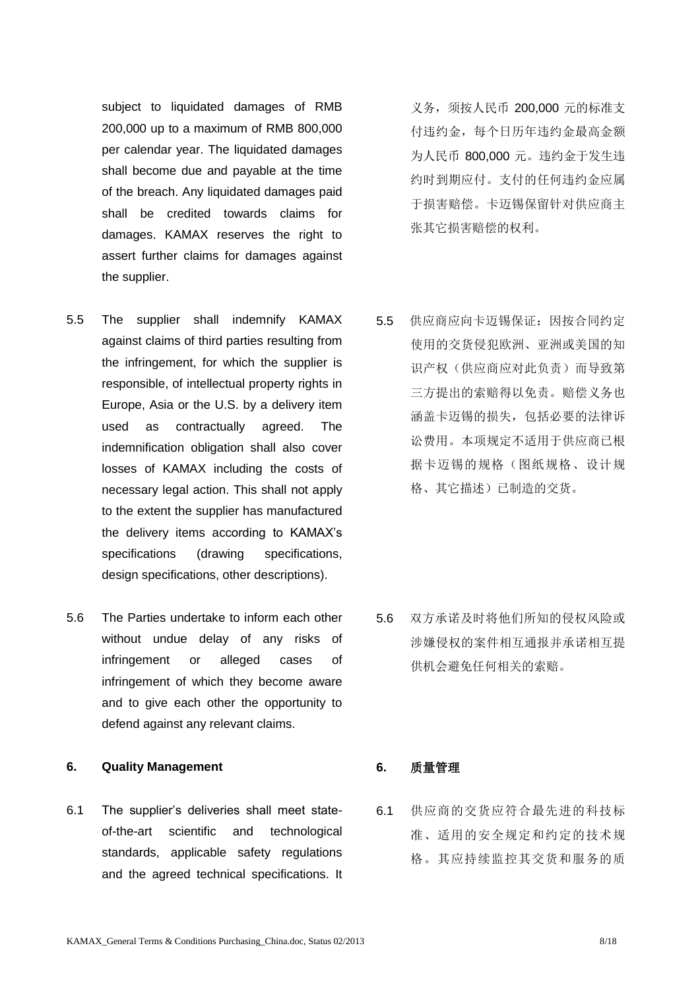subject to liquidated damages of RMB 200,000 up to a maximum of RMB 800,000 per calendar year. The liquidated damages shall become due and payable at the time of the breach. Any liquidated damages paid shall be credited towards claims for damages. KAMAX reserves the right to assert further claims for damages against the supplier.

- 5.5 The supplier shall indemnify KAMAX against claims of third parties resulting from the infringement, for which the supplier is responsible, of intellectual property rights in Europe, Asia or the U.S. by a delivery item used as contractually agreed. The indemnification obligation shall also cover losses of KAMAX including the costs of necessary legal action. This shall not apply to the extent the supplier has manufactured the delivery items according to KAMAX's specifications (drawing specifications, design specifications, other descriptions).
- 5.6 The Parties undertake to inform each other without undue delay of any risks of infringement or alleged cases of infringement of which they become aware and to give each other the opportunity to defend against any relevant claims.

## **6. Quality Management 6.** 质量管理

6.1 The supplier's deliveries shall meet stateof-the-art scientific and technological standards, applicable safety regulations and the agreed technical specifications. It

义务,须按人民币 200,000 元的标准支 付违约金,每个日历年违约金最高金额 为人民币 800,000 元。违约金于发生违 约时到期应付。支付的任何违约金应属 于损害赔偿。卡迈锡保留针对供应商主 张其它损害赔偿的权利。

5.5 供应商应向卡迈锡保证:因按合同约定 使用的交货侵犯欧洲、亚洲或美国的知 识产权(供应商应对此负责)而导致第 三方提出的索赔得以免责。赔偿义务也 涵盖卡迈锡的损失,包括必要的法律诉 讼费用。本项规定不适用于供应商已根 据卡迈锡的规格(图纸规格、设计规 格、其它描述)已制造的交货。

5.6 双方承诺及时将他们所知的侵权风险或 涉嫌侵权的案件相互通报并承诺相互提 供机会避免任何相关的索赔。

6.1 供应商的交货应符合最先进的科技标 准、适用的安全规定和约定的技术规 格。其应持续监控其交货和服务的质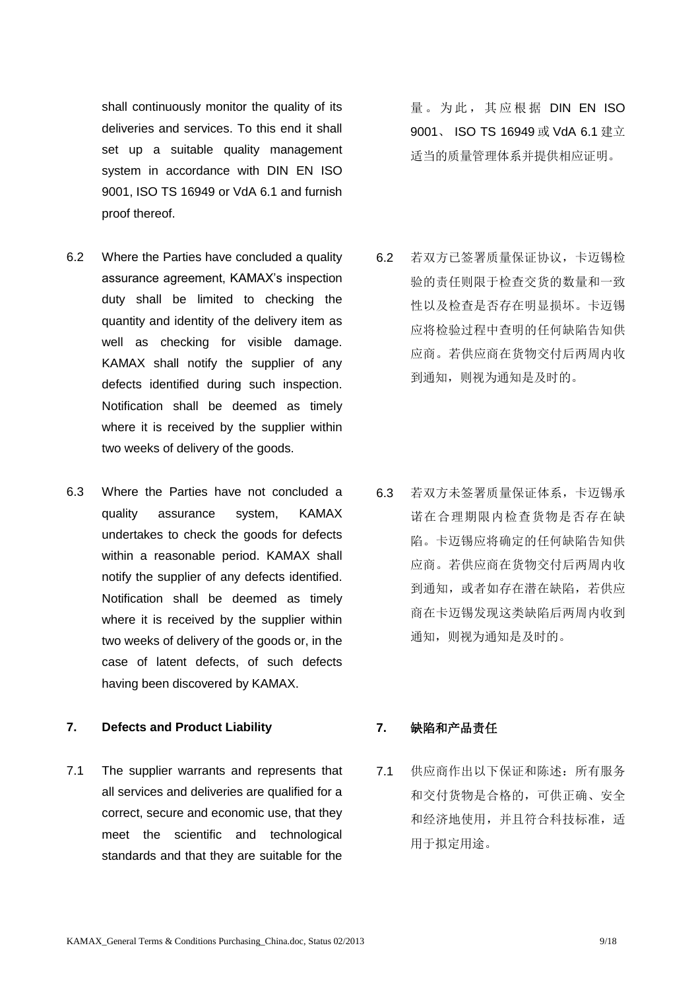shall continuously monitor the quality of its deliveries and services. To this end it shall set up a suitable quality management system in accordance with DIN EN ISO 9001, ISO TS 16949 or VdA 6.1 and furnish proof thereof.

- 6.2 Where the Parties have concluded a quality assurance agreement, KAMAX's inspection duty shall be limited to checking the quantity and identity of the delivery item as well as checking for visible damage. KAMAX shall notify the supplier of any defects identified during such inspection. Notification shall be deemed as timely where it is received by the supplier within two weeks of delivery of the goods.
- 6.3 Where the Parties have not concluded a quality assurance system, KAMAX undertakes to check the goods for defects within a reasonable period. KAMAX shall notify the supplier of any defects identified. Notification shall be deemed as timely where it is received by the supplier within two weeks of delivery of the goods or, in the case of latent defects, of such defects having been discovered by KAMAX.

### **7. Defects and Product Liability 7.** 缺陷和产品责任

7.1 The supplier warrants and represents that all services and deliveries are qualified for a correct, secure and economic use, that they meet the scientific and technological standards and that they are suitable for the 量。为此,其应根据 DIN EN ISO 9001、 ISO TS 16949 或 VdA 6.1 建立 适当的质量管理体系并提供相应证明。

6.2 若双方已签署质量保证协议,卡迈锡检 验的责任则限于检查交货的数量和一致 性以及检查是否存在明显损坏。卡迈锡 应将检验过程中查明的任何缺陷告知供 应商。若供应商在货物交付后两周内收 到通知,则视为通知是及时的。

6.3 若双方未签署质量保证体系,卡迈锡承 诺在合理期限内检查货物是否存在缺 陷。卡迈锡应将确定的任何缺陷告知供 应商。若供应商在货物交付后两周内收 到通知,或者如存在潜在缺陷,若供应 商在卡迈锡发现这类缺陷后两周内收到 通知,则视为通知是及时的。

7.1 供应商作出以下保证和陈述:所有服务 和交付货物是合格的,可供正确、安全 和经济地使用,并且符合科技标准,适 用于拟定用途。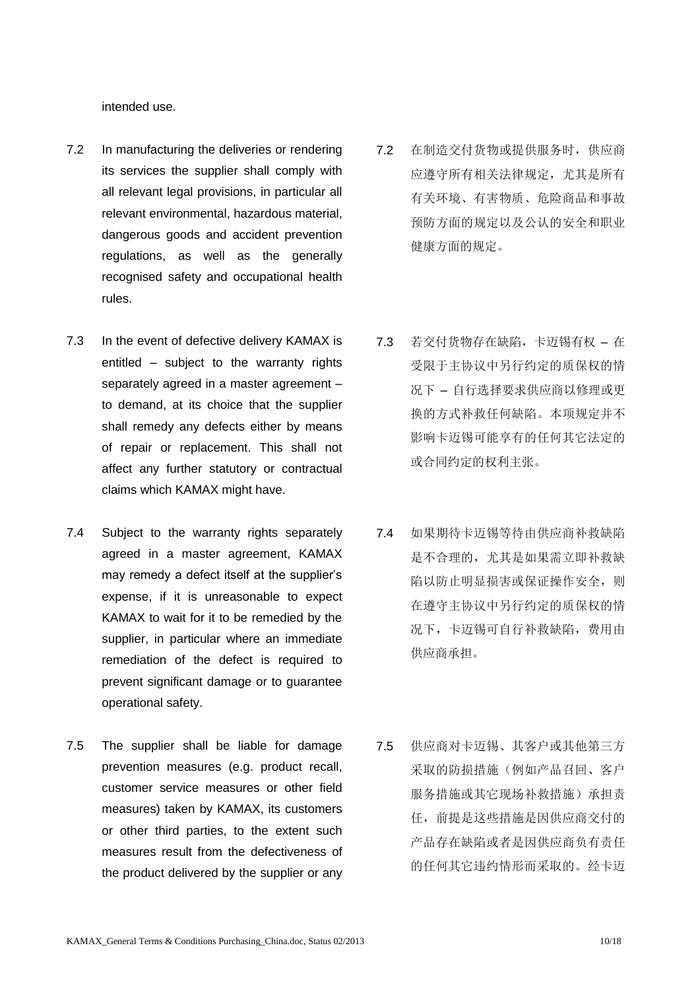intended use.

- 7.2 In manufacturing the deliveries or rendering its services the supplier shall comply with all relevant legal provisions, in particular all relevant environmental, hazardous material, dangerous goods and accident prevention regulations, as well as the generally recognised safety and occupational health rules.
- 7.3 In the event of defective delivery KAMAX is entitled – subject to the warranty rights separately agreed in a master agreement – to demand, at its choice that the supplier shall remedy any defects either by means of repair or replacement. This shall not affect any further statutory or contractual claims which KAMAX might have.
- 7.4 Subject to the warranty rights separately agreed in a master agreement, KAMAX may remedy a defect itself at the supplier's expense, if it is unreasonable to expect KAMAX to wait for it to be remedied by the supplier, in particular where an immediate remediation of the defect is required to prevent significant damage or to guarantee operational safety.
- 7.5 The supplier shall be liable for damage prevention measures (e.g. product recall, customer service measures or other field measures) taken by KAMAX, its customers or other third parties, to the extent such measures result from the defectiveness of the product delivered by the supplier or any
- 7.2 在制造交付货物或提供服务时,供应商 应遵守所有相关法律规定,尤其是所有 有关环境、有害物质、危险商品和事故 预防方面的规定以及公认的安全和职业 健康方面的规定。
- 7.3 若交付货物存在缺陷,卡迈锡有权 在 受限于主协议中另行约定的质保权的情 况下 – 自行选择要求供应商以修理或更 换的方式补救任何缺陷。本项规定并不 影响卡迈锡可能享有的任何其它法定的 或合同约定的权利主张。
- 7.4 如果期待卡迈锡等待由供应商补救缺陷 是不合理的,尤其是如果需立即补救缺 陷以防止明显损害或保证操作安全,则 在遵守主协议中另行约定的质保权的情 况下,卡迈锡可自行补救缺陷,费用由 供应商承担。
- 7.5 供应商对卡迈锡、其客户或其他第三方 采取的防损措施(例如产品召回、客户 服务措施或其它现场补救措施)承担责 任,前提是这些措施是因供应商交付的 产品存在缺陷或者是因供应商负有责任 的任何其它违约情形而采取的。经卡迈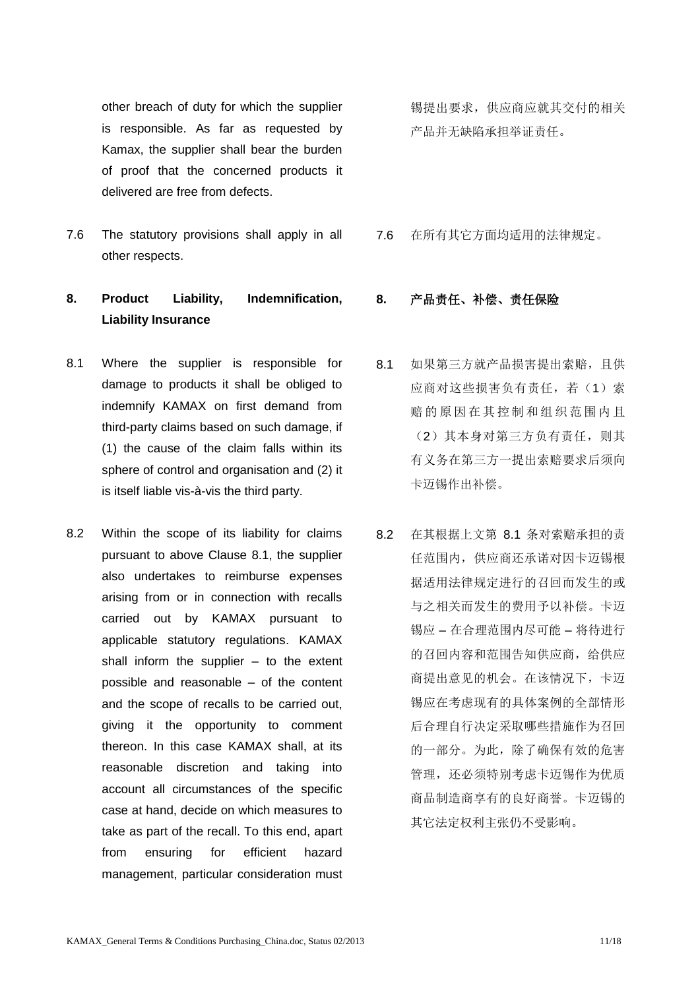other breach of duty for which the supplier is responsible. As far as requested by Kamax, the supplier shall bear the burden of proof that the concerned products it delivered are free from defects.

7.6 The statutory provisions shall apply in all other respects.

## **8. Product Liability, Indemnification, Liability Insurance**

- 8.1 Where the supplier is responsible for damage to products it shall be obliged to indemnify KAMAX on first demand from third-party claims based on such damage, if (1) the cause of the claim falls within its sphere of control and organisation and (2) it is itself liable vis-à-vis the third party.
- 8.2 Within the scope of its liability for claims pursuant to above Clause 8.1, the supplier also undertakes to reimburse expenses arising from or in connection with recalls carried out by KAMAX pursuant to applicable statutory regulations. KAMAX shall inform the supplier  $-$  to the extent possible and reasonable – of the content and the scope of recalls to be carried out, giving it the opportunity to comment thereon. In this case KAMAX shall, at its reasonable discretion and taking into account all circumstances of the specific case at hand, decide on which measures to take as part of the recall. To this end, apart from ensuring for efficient hazard management, particular consideration must

锡提出要求,供应商应就其交付的相关 产品并无缺陷承担举证责任。

7.6 在所有其它方面均适用的法律规定。

## **8.** 产品责任、补偿、责任保险

- 8.1 如果第三方就产品损害提出索赔,且供 应商对这些损害负有责任,若(1)索 赔的原因在其控制和组织范围内且 (2)其本身对第三方负有责任,则其 有义务在第三方一提出索赔要求后须向 卡迈锡作出补偿。
- 8.2 在其根据上文第 8.1 条对索赔承担的责 任范围内,供应商还承诺对因卡迈锡根 据适用法律规定进行的召回而发生的或 与之相关而发生的费用予以补偿。卡迈 锡应 – 在合理范围内尽可能 – 将待进行 的召回内容和范围告知供应商,给供应 商提出意见的机会。在该情况下,卡迈 锡应在考虑现有的具体案例的全部情形 后合理自行决定采取哪些措施作为召回 的一部分。为此,除了确保有效的危害 管理,还必须特别考虑卡迈锡作为优质 商品制造商享有的良好商誉。卡迈锡的 其它法定权利主张仍不受影响。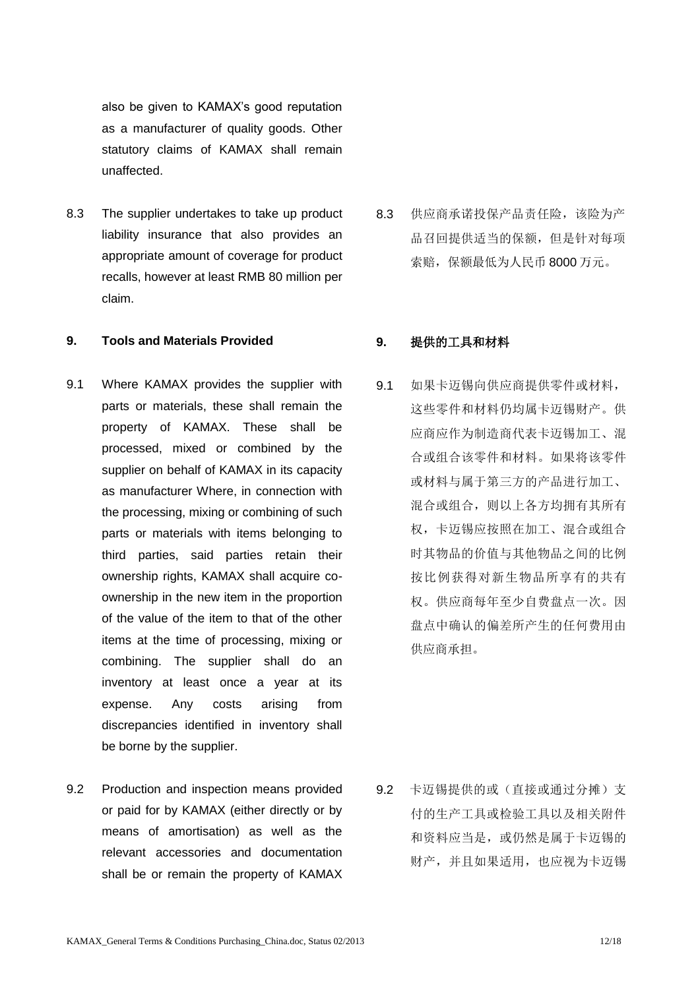also be given to KAMAX's good reputation as a manufacturer of quality goods. Other statutory claims of KAMAX shall remain unaffected.

8.3 The supplier undertakes to take up product liability insurance that also provides an appropriate amount of coverage for product recalls, however at least RMB 80 million per claim.

### **9. Tools and Materials Provided 9.** 提供的工具和材料

- 9.1 Where KAMAX provides the supplier with parts or materials, these shall remain the property of KAMAX. These shall be processed, mixed or combined by the supplier on behalf of KAMAX in its capacity as manufacturer Where, in connection with the processing, mixing or combining of such parts or materials with items belonging to third parties, said parties retain their ownership rights, KAMAX shall acquire coownership in the new item in the proportion of the value of the item to that of the other items at the time of processing, mixing or combining. The supplier shall do an inventory at least once a year at its expense. Any costs arising from discrepancies identified in inventory shall be borne by the supplier.
- 9.2 Production and inspection means provided or paid for by KAMAX (either directly or by means of amortisation) as well as the relevant accessories and documentation shall be or remain the property of KAMAX

8.3 供应商承诺投保产品责任险,该险为产 品召回提供适当的保额,但是针对每项 索赔,保额最低为人民币 8000 万元。

9.1 如果卡迈锡向供应商提供零件或材料, 这些零件和材料仍均属卡迈锡财产。供 应商应作为制造商代表卡迈锡加工、混 合或组合该零件和材料。如果将该零件 或材料与属于第三方的产品进行加工、 混合或组合,则以上各方均拥有其所有 权,卡迈锡应按照在加工、混合或组合 时其物品的价值与其他物品之间的比例 按比例获得对新生物品所享有的共有 权。供应商每年至少自费盘点一次。因 盘点中确认的偏差所产生的任何费用由 供应商承担。

9.2 卡迈锡提供的或(直接或通过分摊)支 付的生产工具或检验工具以及相关附件 和资料应当是,或仍然是属于卡迈锡的 财产,并且如果适用,也应视为卡迈锡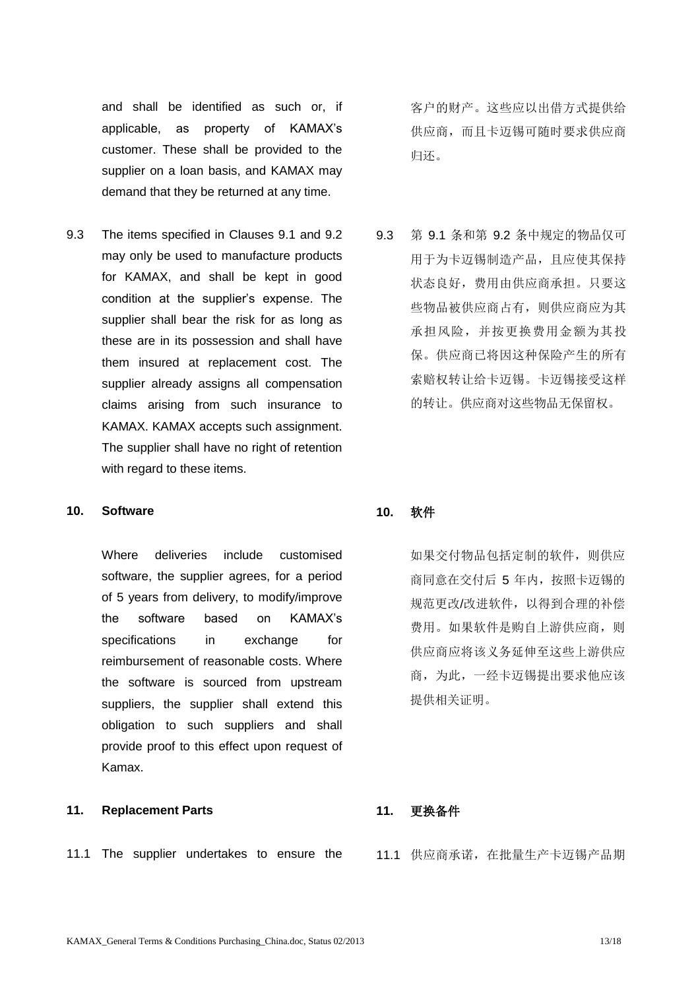and shall be identified as such or, if applicable, as property of KAMAX's customer. These shall be provided to the supplier on a loan basis, and KAMAX may demand that they be returned at any time.

9.3 The items specified in Clauses 9.1 and 9.2 may only be used to manufacture products for KAMAX, and shall be kept in good condition at the supplier's expense. The supplier shall bear the risk for as long as these are in its possession and shall have them insured at replacement cost. The supplier already assigns all compensation claims arising from such insurance to KAMAX. KAMAX accepts such assignment. The supplier shall have no right of retention with regard to these items.

### **10. Software 10.** 软件

Where deliveries include customised software, the supplier agrees, for a period of 5 years from delivery, to modify/improve the software based on KAMAX's specifications in exchange for reimbursement of reasonable costs. Where the software is sourced from upstream suppliers, the supplier shall extend this obligation to such suppliers and shall provide proof to this effect upon request of Kamax.

## **11. Replacement Parts 11.** 更换备件

11.1 The supplier undertakes to ensure the 11.1 供应商承诺, 在批量生产卡迈锡产品期

客户的财产。这些应以出借方式提供给 供应商,而且卡迈锡可随时要求供应商 归还。

9.3 第 9.1 条和第 9.2 条中规定的物品仅可 用于为卡迈锡制造产品,且应使其保持 状态良好,费用由供应商承担。只要这 些物品被供应商占有,则供应商应为其 承担风险,并按更换费用金额为其投 保。供应商已将因这种保险产生的所有 索赔权转让给卡迈锡。卡迈锡接受这样 的转让。供应商对这些物品无保留权。

如果交付物品包括定制的软件,则供应 商同意在交付后 5 年内,按照卡迈锡的 规范更改/改进软件,以得到合理的补偿 费用。如果软件是购自上游供应商,则 供应商应将该义务延伸至这些上游供应 商,为此,一经卡迈锡提出要求他应该 提供相关证明。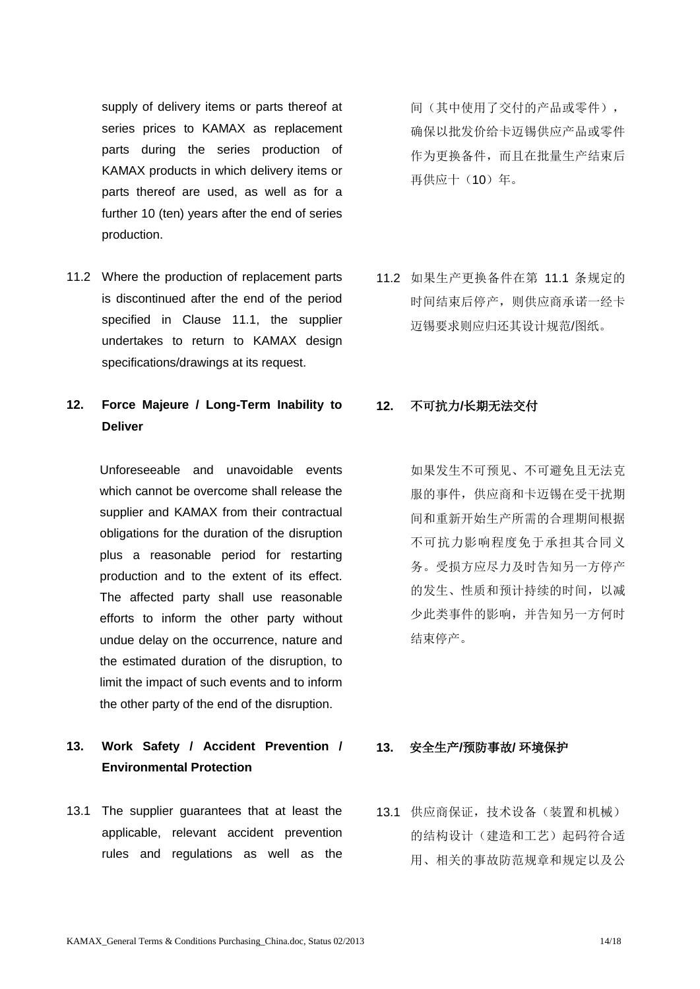supply of delivery items or parts thereof at series prices to KAMAX as replacement parts during the series production of KAMAX products in which delivery items or parts thereof are used, as well as for a further 10 (ten) years after the end of series production.

11.2 Where the production of replacement parts is discontinued after the end of the period specified in Clause 11.1, the supplier undertakes to return to KAMAX design specifications/drawings at its request.

# **12. Force Majeure / Long-Term Inability to Deliver**

Unforeseeable and unavoidable events which cannot be overcome shall release the supplier and KAMAX from their contractual obligations for the duration of the disruption plus a reasonable period for restarting production and to the extent of its effect. The affected party shall use reasonable efforts to inform the other party without undue delay on the occurrence, nature and the estimated duration of the disruption, to limit the impact of such events and to inform the other party of the end of the disruption.

# **13. Work Safety / Accident Prevention / Environmental Protection**

13.1 The supplier guarantees that at least the applicable, relevant accident prevention rules and regulations as well as the

间(其中使用了交付的产品或零件), 确保以批发价给卡迈锡供应产品或零件 作为更换备件,而且在批量生产结束后 再供应十(10)年。

11.2 如果生产更换备件在第 11.1 条规定的 时间结束后停产,则供应商承诺一经卡 迈锡要求则应归还其设计规范/图纸。

## **12.** 不可抗力**/**长期无法交付

如果发生不可预见、不可避免且无法克 服的事件,供应商和卡迈锡在受干扰期 间和重新开始生产所需的合理期间根据 不可抗力影响程度免于承担其合同义 务。受损方应尽力及时告知另一方停产 的发生、性质和预计持续的时间,以减 少此类事件的影响,并告知另一方何时 结束停产。

### **13.** 安全生产**/**预防事故**/** 环境保护

13.1 供应商保证,技术设备(装置和机械) 的结构设计(建造和工艺)起码符合适 用、相关的事故防范规章和规定以及公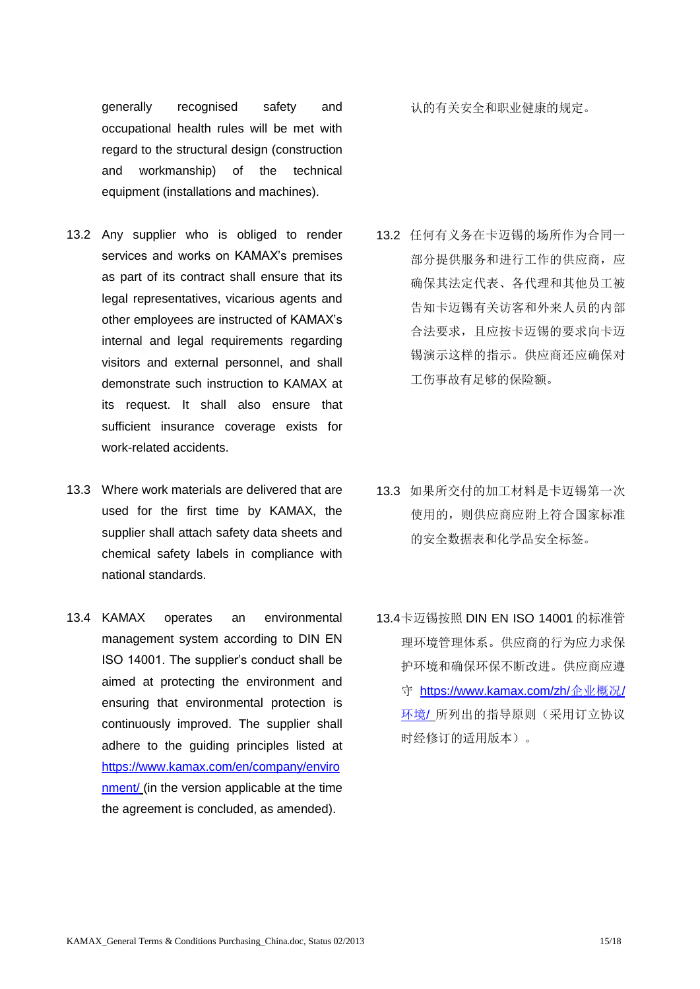generally recognised safety and occupational health rules will be met with regard to the structural design (construction and workmanship) of the technical equipment (installations and machines).

- 13.2 Any supplier who is obliged to render services and works on KAMAX's premises as part of its contract shall ensure that its legal representatives, vicarious agents and other employees are instructed of KAMAX's internal and legal requirements regarding visitors and external personnel, and shall demonstrate such instruction to KAMAX at its request. It shall also ensure that sufficient insurance coverage exists for work-related accidents.
- 13.3 Where work materials are delivered that are used for the first time by KAMAX, the supplier shall attach safety data sheets and chemical safety labels in compliance with national standards.
- 13.4 KAMAX operates an environmental management system according to DIN EN ISO 14001. The supplier's conduct shall be aimed at protecting the environment and ensuring that environmental protection is continuously improved. The supplier shall adhere to the guiding principles listed at [https://www.kamax.com/en/company/enviro](https://www.kamax.com/en/company/environment/) [nment/](https://www.kamax.com/en/company/environment/) (in the version applicable at the time the agreement is concluded, as amended).

认的有关安全和职业健康的规定。

- 13.2 任何有义务在卡迈锡的场所作为合同一 部分提供服务和进行工作的供应商, 应 确保其法定代表、各代理和其他员工被 告知卡迈锡有关访客和外来人员的内部 合法要求,且应按卡迈锡的要求向卡迈 锡演示这样的指示。供应商还应确保对 工伤事故有足够的保险额。
- 13.3 如果所交付的加工材料是卡迈锡第一次 使用的,则供应商应附上符合国家标准 的安全数据表和化学品安全标签。
- 13.4卡迈锡按照 DIN EN ISO 14001 的标准管 理环境管理体系。供应商的行为应力求保 护环境和确保环保不断改进。供应商应遵 守 [https://www.kamax.com/zh/](https://www.kamax.com/zh/企业概况/环境/)企业概况/ [环境](https://www.kamax.com/zh/企业概况/环境/)/ 所列出的指导原则(采用订立协议 时经修订的适用版本)。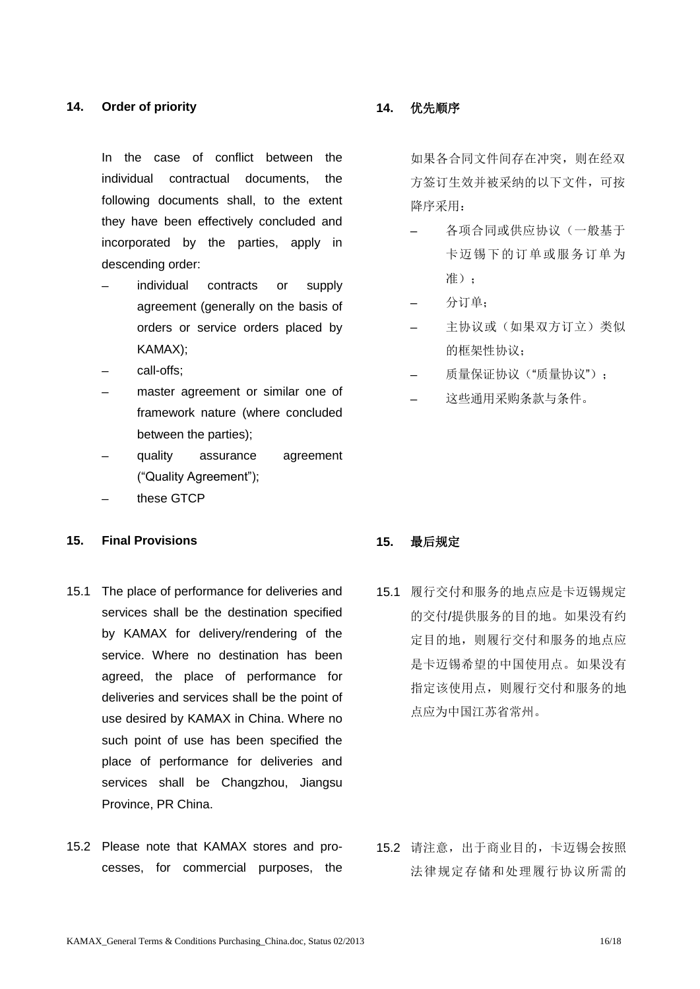### **14. Order of priority 14.** 优先顺序

In the case of conflict between the individual contractual documents, the following documents shall, to the extent they have been effectively concluded and incorporated by the parties, apply in descending order:

- individual contracts or supply agreement (generally on the basis of orders or service orders placed by KAMAX);
- call-offs:
- master agreement or similar one of framework nature (where concluded between the parties);
- quality assurance agreement ("Quality Agreement");
- these GTCP

### **15. Final Provisions 15.** 最后规定

- 15.1 The place of performance for deliveries and services shall be the destination specified by KAMAX for delivery/rendering of the service. Where no destination has been agreed, the place of performance for deliveries and services shall be the point of use desired by KAMAX in China. Where no such point of use has been specified the place of performance for deliveries and services shall be Changzhou, Jiangsu Province, PR China.
- 15.2 Please note that KAMAX stores and processes, for commercial purposes, the

如果各合同文件间存在冲突,则在经双 方签订生效并被采纳的以下文件,可按 降序采用:

- ─ 各项合同或供应协议(一般基于 卡迈锡下的订单或服务订单为 准).
- ─ 分订单;
- 主协议或(如果双方订立)类似 的框架性协议;
- 质量保证协议("质量协议"):
- 这些通用采购条款与条件。

15.1 履行交付和服务的地点应是卡迈锡规定 的交付/提供服务的目的地。如果没有约 定目的地,则履行交付和服务的地点应 是卡迈锡希望的中国使用点。如果没有 指定该使用点,则履行交付和服务的地 点应为中国江苏省常州。

15.2 请注意,出于商业目的,卡迈锡会按照 法律规定存储和处理履行协议所需的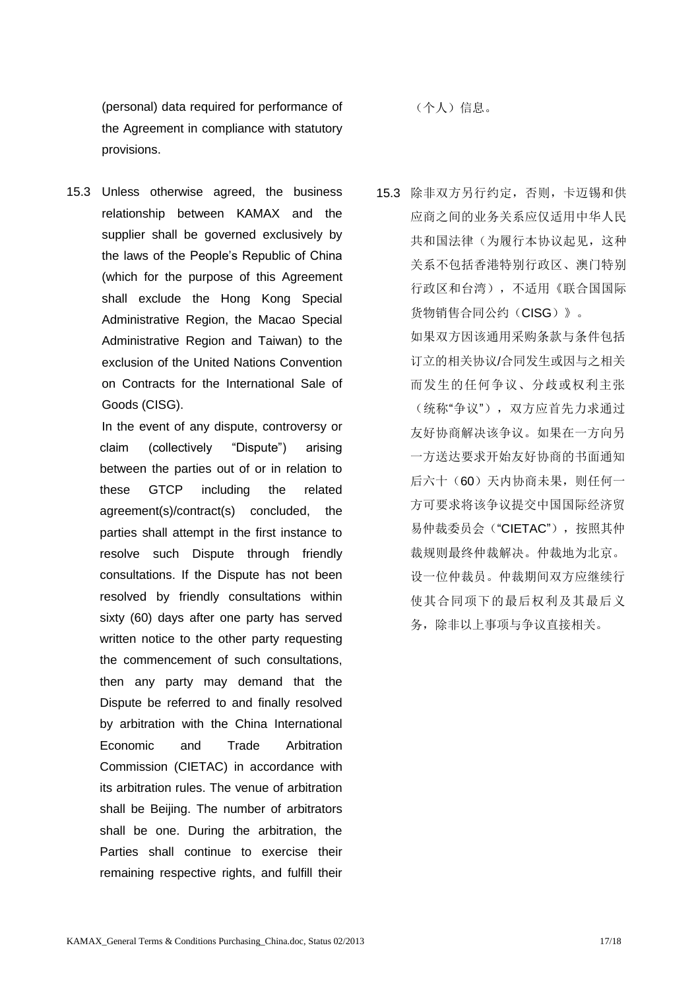(personal) data required for performance of the Agreement in compliance with statutory provisions.

15.3 Unless otherwise agreed, the business relationship between KAMAX and the supplier shall be governed exclusively by the laws of the People's Republic of China (which for the purpose of this Agreement shall exclude the Hong Kong Special Administrative Region, the Macao Special Administrative Region and Taiwan) to the exclusion of the United Nations Convention on Contracts for the International Sale of Goods (CISG).

> In the event of any dispute, controversy or claim (collectively "Dispute") arising between the parties out of or in relation to these GTCP including the related agreement(s)/contract(s) concluded, the parties shall attempt in the first instance to resolve such Dispute through friendly consultations. If the Dispute has not been resolved by friendly consultations within sixty (60) days after one party has served written notice to the other party requesting the commencement of such consultations, then any party may demand that the Dispute be referred to and finally resolved by arbitration with the China International Economic and Trade Arbitration Commission (CIETAC) in accordance with its arbitration rules. The venue of arbitration shall be Beijing. The number of arbitrators shall be one. During the arbitration, the Parties shall continue to exercise their remaining respective rights, and fulfill their

(个人)信息。

15.3 除非双方另行约定,否则,卡迈锡和供 应商之间的业务关系应仅适用中华人民 共和国法律(为履行本协议起见,这种 关系不包括香港特别行政区、澳门特别 行政区和台湾),不适用《联合国国际 货物销售合同公约(CISG)》。 如果双方因该通用采购条款与条件包括 订立的相关协议/合同发生或因与之相关 而发生的任何争议、分歧或权利主张 (统称"争议"),双方应首先力求通过 友好协商解决该争议。如果在一方向另 一方送达要求开始友好协商的书面通知 后六十(60)天内协商未果,则任何一 方可要求将该争议提交中国国际经济贸 易仲裁委员会("CIETAC"), 按照其仲 裁规则最终仲裁解决。仲裁地为北京。 设一位仲裁员。仲裁期间双方应继续行 使其合同项下的最后权利及其最后义 务,除非以上事项与争议直接相关。